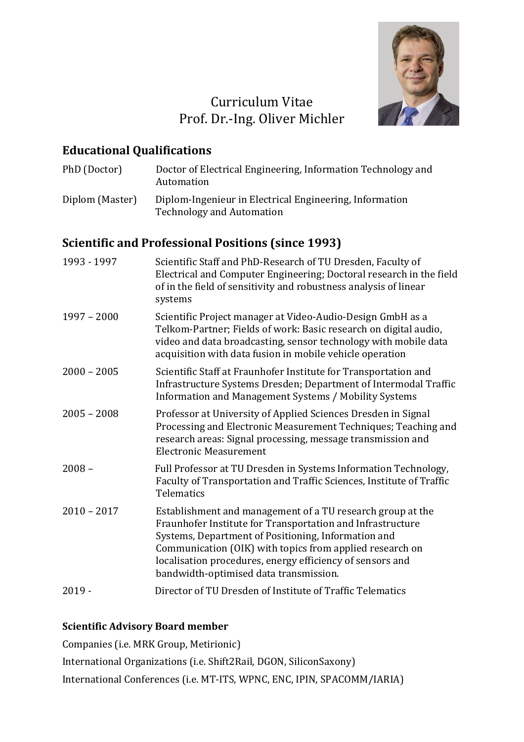

# Curriculum Vitae Prof. Dr.-Ing. Oliver Michler

## **Educational Qualifications**

- PhD (Doctor) Doctor of Electrical Engineering, Information Technology and Automation
- Diplom (Master) Diplom-Ingenieur in Electrical Engineering, Information Technology and Automation

## **Scientific and Professional Positions (since 1993)**

| 1993 - 1997   | Scientific Staff and PhD-Research of TU Dresden, Faculty of<br>Electrical and Computer Engineering; Doctoral research in the field<br>of in the field of sensitivity and robustness analysis of linear<br>systems                                                                                                                                  |
|---------------|----------------------------------------------------------------------------------------------------------------------------------------------------------------------------------------------------------------------------------------------------------------------------------------------------------------------------------------------------|
| $1997 - 2000$ | Scientific Project manager at Video-Audio-Design GmbH as a<br>Telkom-Partner; Fields of work: Basic research on digital audio,<br>video and data broadcasting, sensor technology with mobile data<br>acquisition with data fusion in mobile vehicle operation                                                                                      |
| $2000 - 2005$ | Scientific Staff at Fraunhofer Institute for Transportation and<br>Infrastructure Systems Dresden; Department of Intermodal Traffic<br>Information and Management Systems / Mobility Systems                                                                                                                                                       |
| $2005 - 2008$ | Professor at University of Applied Sciences Dresden in Signal<br>Processing and Electronic Measurement Techniques; Teaching and<br>research areas: Signal processing, message transmission and<br><b>Electronic Measurement</b>                                                                                                                    |
| $2008 -$      | Full Professor at TU Dresden in Systems Information Technology,<br>Faculty of Transportation and Traffic Sciences, Institute of Traffic<br><b>Telematics</b>                                                                                                                                                                                       |
| $2010 - 2017$ | Establishment and management of a TU research group at the<br>Fraunhofer Institute for Transportation and Infrastructure<br>Systems, Department of Positioning, Information and<br>Communication (OIK) with topics from applied research on<br>localisation procedures, energy efficiency of sensors and<br>bandwidth-optimised data transmission. |
| $2019 -$      | Director of TU Dresden of Institute of Traffic Telematics                                                                                                                                                                                                                                                                                          |

## **Scientific Advisory Board member**

Companies (i.e. MRK Group, Metirionic) International Organizations (i.e. Shift2Rail, DGON, SiliconSaxony) International Conferences (i.e. MT-ITS, WPNC, ENC, IPIN, SPACOMM/IARIA)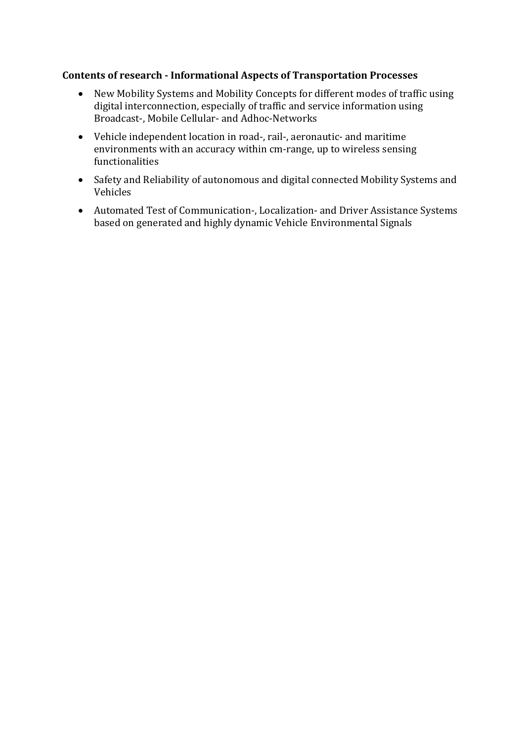#### **Contents of research - Informational Aspects of Transportation Processes**

- New Mobility Systems and Mobility Concepts for different modes of traffic using digital interconnection, especially of traffic and service information using Broadcast-, Mobile Cellular- and Adhoc-Networks
- Vehicle independent location in road-, rail-, aeronautic- and maritime environments with an accuracy within cm-range, up to wireless sensing functionalities
- Safety and Reliability of autonomous and digital connected Mobility Systems and Vehicles
- Automated Test of Communication-, Localization- and Driver Assistance Systems based on generated and highly dynamic Vehicle Environmental Signals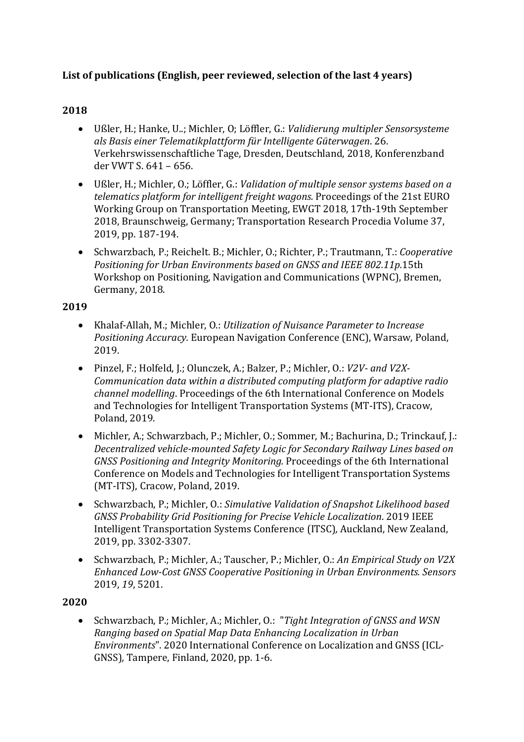## **List of publications (English, peer reviewed, selection of the last 4 years)**

### **2018**

- Ußler, H.; Hanke, U..; Michler, O; Löffler, G.: *Validierung multipler Sensorsysteme als Basis einer Telematikplattform für Intelligente Güterwagen*. 26. Verkehrswissenschaftliche Tage, Dresden, Deutschland, 2018, Konferenzband der VWT S. 641 – 656.
- Ußler, H.; Michler, O.; Löffler, G.: *Validation of multiple sensor systems based on a telematics platform for intelligent freight wagons.* Proceedings of the 21st EURO Working Group on Transportation Meeting, EWGT 2018, 17th-19th September 2018, Braunschweig, Germany; Transportation Research Procedia Volume 37, 2019, pp. 187-194.
- Schwarzbach, P.; Reichelt. B.; Michler, O.; Richter, P.; Trautmann, T.: *Cooperative Positioning for Urban Environments based on GNSS and IEEE 802.11p.*15th Workshop on Positioning, Navigation and Communications (WPNC), Bremen, Germany, 2018.

#### **2019**

- Khalaf-Allah, M.; Michler, O.: *Utilization of Nuisance Parameter to Increase Positioning Accuracy.* European Navigation Conference (ENC), Warsaw, Poland, 2019.
- Pinzel, F.; Holfeld, J.; Olunczek, A.; Balzer, P.; Michler, O.: *V2V- and V2X-Communication data within a distributed computing platform for adaptive radio channel modelling*. Proceedings of the 6th International Conference on Models and Technologies for Intelligent Transportation Systems (MT-ITS), Cracow, Poland, 2019.
- Michler, A.; Schwarzbach, P.; Michler, O.; Sommer, M.; Bachurina, D.; Trinckauf, J.: *Decentralized vehicle-mounted Safety Logic for Secondary Railway Lines based on GNSS Positioning and Integrity Monitoring.* Proceedings of the 6th International Conference on Models and Technologies for Intelligent Transportation Systems (MT-ITS), Cracow, Poland, 2019.
- Schwarzbach, P.; Michler, O.: *Simulative Validation of Snapshot Likelihood based GNSS Probability Grid Positioning for Precise Vehicle Localization*. 2019 IEEE Intelligent Transportation Systems Conference (ITSC)*,* Auckland, New Zealand, 2019, pp. 3302-3307.
- Schwarzbach, P.; Michler, A.; Tauscher, P.; Michler, O.: *An Empirical Study on V2X Enhanced Low-Cost GNSS Cooperative Positioning in Urban Environments. Sensors* 2019, *19*, 5201.

#### **2020**

• Schwarzbach, P.; Michler, A.; Michler, O.: "*Tight Integration of GNSS and WSN Ranging based on Spatial Map Data Enhancing Localization in Urban Environments*". 2020 International Conference on Localization and GNSS (ICL-GNSS)*,* Tampere, Finland, 2020, pp. 1-6.